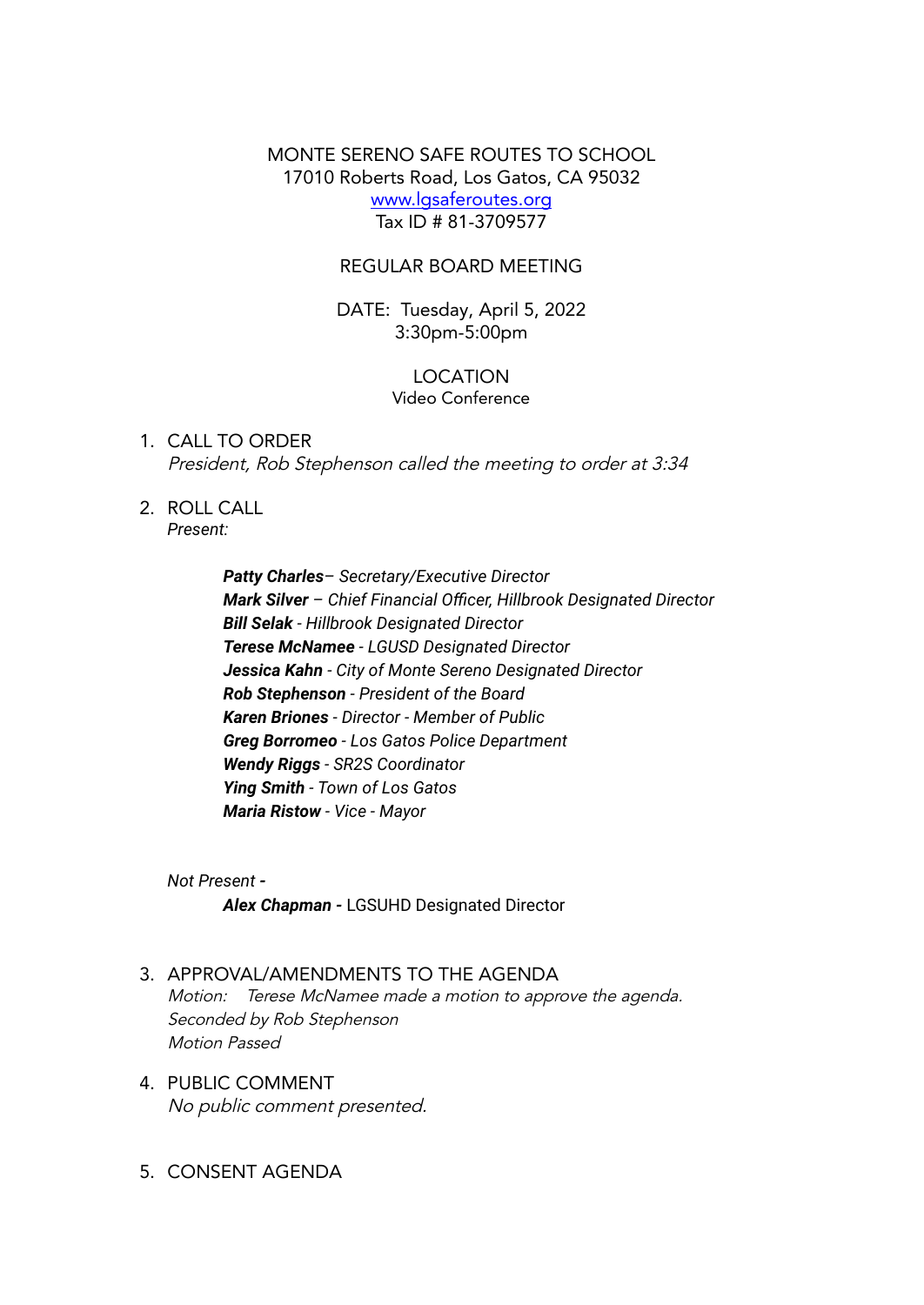MONTE SERENO SAFE ROUTES TO SCHOOL 17010 Roberts Road, Los Gatos, CA 95032 www.lgsaferoutes.org Tax ID # 81-3709577

### REGULAR BOARD MEETING

DATE: Tuesday, April 5, 2022 3:30pm-5:00pm

#### LOCATION Video Conference

## 1. CALL TO ORDER President, Rob Stephenson called the meeting to order at 3:34

2. ROLL CALL *Present:*

> *Patty Charles– Secretary/Executive Director Mark Silver – Chief Financial Officer, Hillbrook Designated Director Bill Selak - Hillbrook Designated Director Terese McNamee - LGUSD Designated Director Jessica Kahn - City of Monte Sereno Designated Director Rob Stephenson - President of the Board Karen Briones - Director - Member of Public Greg Borromeo - Los Gatos Police Department Wendy Riggs - SR2S Coordinator Ying Smith - Town of Los Gatos Maria Ristow - Vice - Mayor*

*Not Present - Alex Chapman -* LGSUHD Designated Director

- 3. APPROVAL/AMENDMENTS TO THE AGENDA Motion: Terese McNamee made <sup>a</sup> motion to approve the agenda. Seconded by Rob Stephenson Motion Passed
- 4. PUBLIC COMMENT No public comment presented.
- 5. CONSENT AGENDA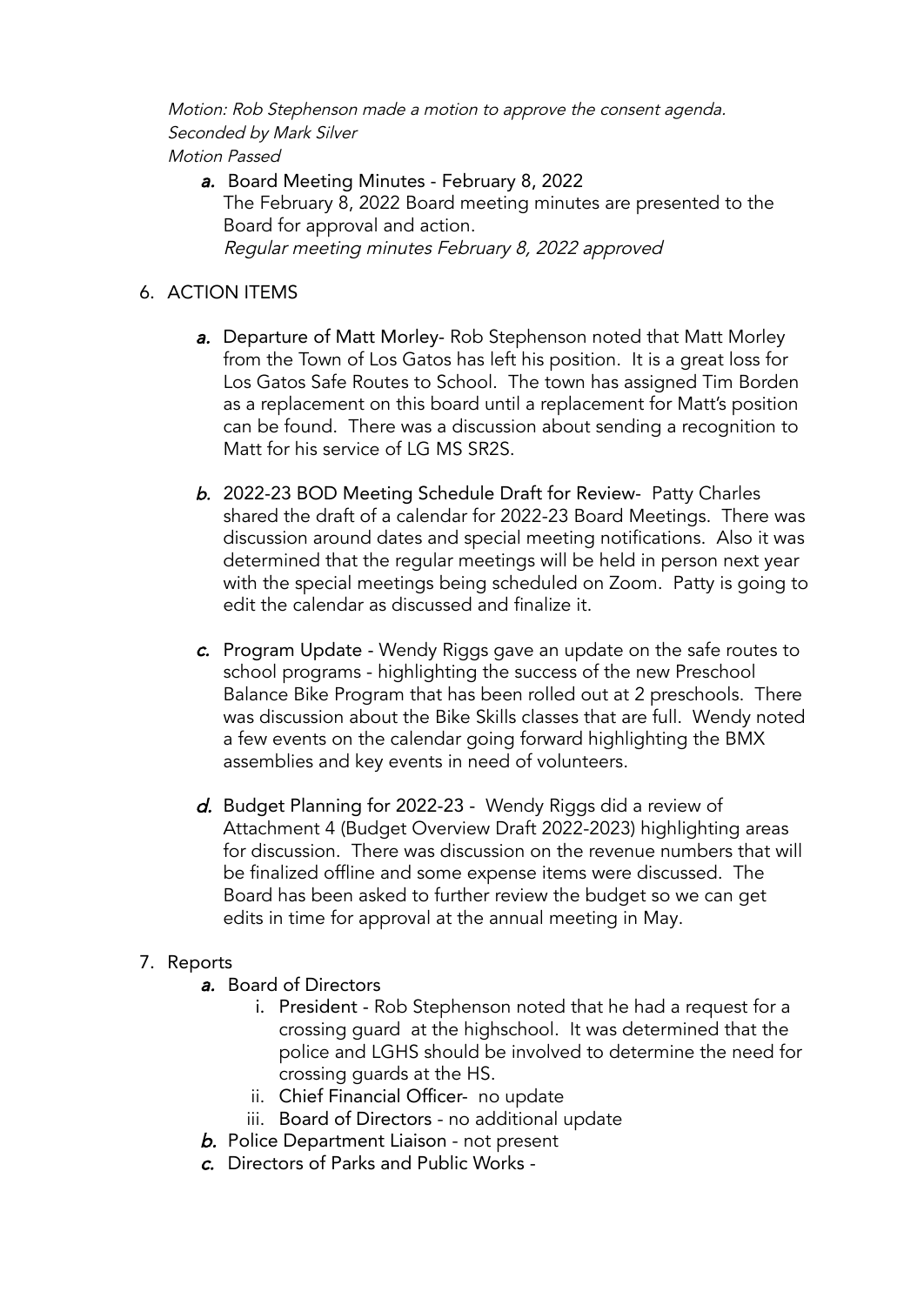Motion: Rob Stephenson made <sup>a</sup> motion to approve the consent agenda. Seconded by Mark Silver

Motion Passed

a. Board Meeting Minutes - February 8, 2022 The February 8, 2022 Board meeting minutes are presented to the Board for approval and action. Regular meeting minutes February 8, 2022 approved

# 6. ACTION ITEMS

- a. Departure of Matt Morley- Rob Stephenson noted that Matt Morley from the Town of Los Gatos has left his position. It is a great loss for Los Gatos Safe Routes to School. The town has assigned Tim Borden as a replacement on this board until a replacement for Matt's position can be found. There was a discussion about sending a recognition to Matt for his service of LG MS SR2S.
- b. 2022-23 BOD Meeting Schedule Draft for Review- Patty Charles shared the draft of a calendar for 2022-23 Board Meetings. There was discussion around dates and special meeting notifications. Also it was determined that the regular meetings will be held in person next year with the special meetings being scheduled on Zoom. Patty is going to edit the calendar as discussed and finalize it.
- c. Program Update Wendy Riggs gave an update on the safe routes to school programs - highlighting the success of the new Preschool Balance Bike Program that has been rolled out at 2 preschools. There was discussion about the Bike Skills classes that are full. Wendy noted a few events on the calendar going forward highlighting the BMX assemblies and key events in need of volunteers.
- d. Budget Planning for 2022-23 Wendy Riggs did a review of Attachment 4 (Budget Overview Draft 2022-2023) highlighting areas for discussion. There was discussion on the revenue numbers that will be finalized offline and some expense items were discussed. The Board has been asked to further review the budget so we can get edits in time for approval at the annual meeting in May.

## 7. Reports

- a. Board of Directors
	- i. President Rob Stephenson noted that he had a request for a crossing guard at the highschool. It was determined that the police and LGHS should be involved to determine the need for crossing guards at the HS.
	- ii. Chief Financial Officer- no update
	- iii. Board of Directors no additional update
- **b.** Police Department Liaison not present
- c. Directors of Parks and Public Works -